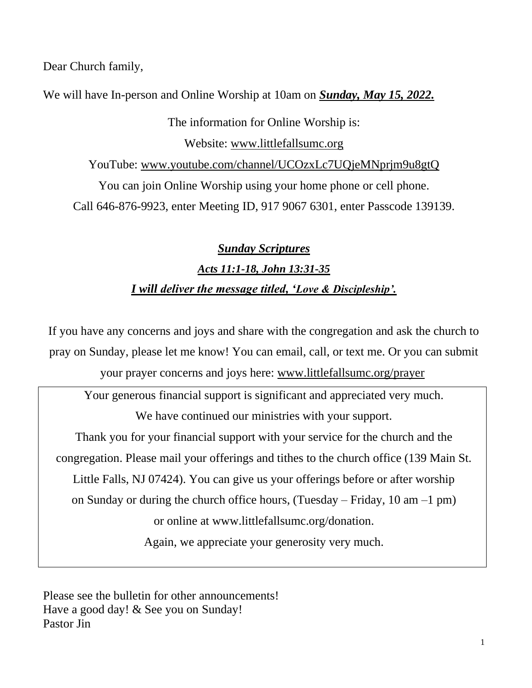Dear Church family,

We will have In-person and Online Worship at 10am on *Sunday, May 15, 2022.*

The information for Online Worship is: Website: www.littlefallsumc.org YouTube: www.youtube.com/channel/UCOzxLc7UQjeMNprjm9u8gtQ You can join Online Worship using your home phone or cell phone. Call 646-876-9923, enter Meeting ID, 917 9067 6301, enter Passcode 139139.

# *Sunday Scriptures Acts 11:1-18, John 13:31-35 I will deliver the message titled, 'Love & Discipleship'.*

If you have any concerns and joys and share with the congregation and ask the church to pray on Sunday, please let me know! You can email, call, or text me. Or you can submit

your prayer concerns and joys here: [www.littlefallsumc.org/prayer](http://www.littlefallsumc.org/prayer)

Your generous financial support is significant and appreciated very much. We have continued our ministries with your support.

Thank you for your financial support with your service for the church and the congregation. Please mail your offerings and tithes to the church office (139 Main St. Little Falls, NJ 07424). You can give us your offerings before or after worship on Sunday or during the church office hours, (Tuesday – Friday, 10 am –1 pm) or online at www.littlefallsumc.org/donation. Again, we appreciate your generosity very much.

Please see the bulletin for other announcements! Have a good day! & See you on Sunday! Pastor Jin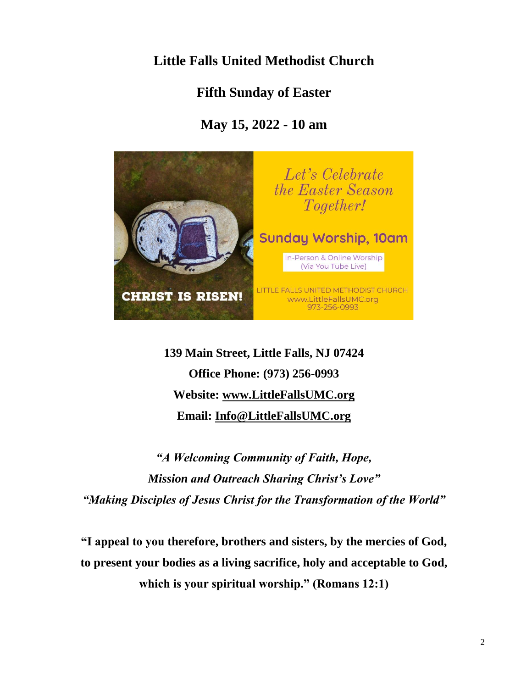# **Little Falls United Methodist Church**

# **Fifth Sunday of Easter**

# **May 15, 2022 - 10 am**



**139 Main Street, Little Falls, NJ 07424 Office Phone: (973) 256-0993 Website: [www.LittleFallsUMC.org](http://www.littlefallsumc.org/) Email: [Info@LittleFallsUMC.org](mailto:Info@LittleFallsUMC.org)**

*"A Welcoming Community of Faith, Hope, Mission and Outreach Sharing Christ's Love" "Making Disciples of Jesus Christ for the Transformation of the World"*

**"I appeal to you therefore, brothers and sisters, by the mercies of God, to present your bodies as a living sacrifice, holy and acceptable to God, which is your spiritual worship." (Romans 12:1)**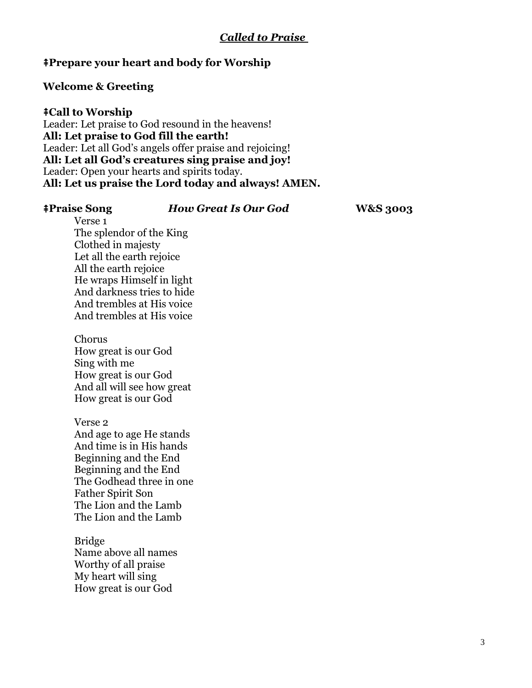### *Called to Praise*

#### ⭻**Prepare your heart and body for Worship**

#### **Welcome & Greeting**

⭻**Call to Worship** Leader: Let praise to God resound in the heavens! **All: Let praise to God fill the earth!** Leader: Let all God's angels offer praise and rejoicing! **All: Let all God's creatures sing praise and joy!** Leader: Open your hearts and spirits today. **All: Let us praise the Lord today and always! AMEN.**

#### ⭻**Praise Song** *How Great Is Our God* **W&S 3003**

Verse 1 The splendor of the King Clothed in majesty Let all the earth rejoice All the earth rejoice He wraps Himself in light And darkness tries to hide And trembles at His voice And trembles at His voice

Chorus How great is our God Sing with me How great is our God And all will see how great How great is our God

Verse 2 And age to age He stands And time is in His hands Beginning and the End Beginning and the End The Godhead three in one Father Spirit Son The Lion and the Lamb The Lion and the Lamb

Bridge Name above all names Worthy of all praise My heart will sing How great is our God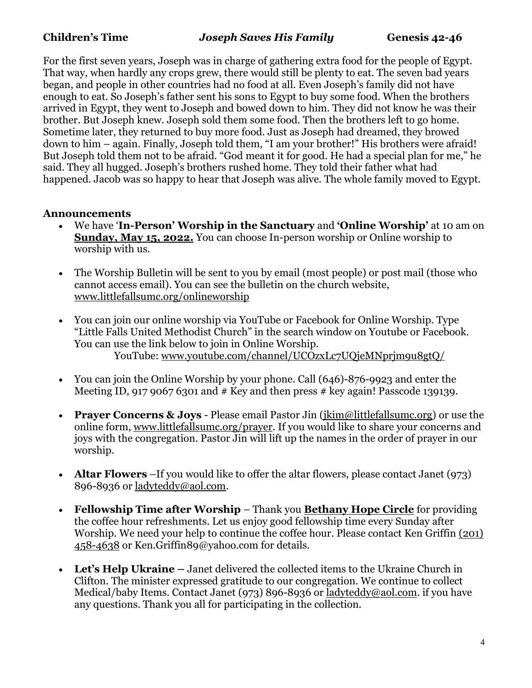**Children's Time** *Joseph Saves His Family* **Genesis 42-46** 

For the first seven years, Joseph was in charge of gathering extra food for the people of Egypt. That way, when hardly any crops grew, there would still be plenty to eat. The seven bad years began, and people in other countries had no food at all. Even Joseph's family did not have enough to eat. So Joseph's father sent his sons to Egypt to buy some food. When the brothers arrived in Egypt, they went to Joseph and bowed down to him. They did not know he was their brother. But Joseph knew. Joseph sold them some food. Then the brothers left to go home. Sometime later, they returned to buy more food. Just as Joseph had dreamed, they browed down to him – again. Finally, Joseph told them, "I am your brother!" His brothers were afraid! But Joseph told them not to be afraid. "God meant it for good. He had a special plan for me," he said. They all hugged. Joseph's brothers rushed home. They told their father what had happened. Jacob was so happy to hear that Joseph was alive. The whole family moved to Egypt.

#### **Announcements**

- We have '**In-Person' Worship in the Sanctuary** and **'Online Worship'** at 10 am on **Sunday, May 15, 2022.** You can choose In-person worship or Online worship to worship with us.
- The Worship Bulletin will be sent to you by email (most people) or post mail (those who cannot access email). You can see the bulletin on the church website, [www.littlefallsumc.org/onlineworship](http://www.littlefallsumc.org/onlineworship)
- You can join our online worship via YouTube or Facebook for Online Worship. Type "Little Falls United Methodist Church" in the search window on Youtube or Facebook. You can use the link below to join in Online Worship. YouTube: [www.youtube.com/channel/UCOzxLc7UQjeMNprjm9u8gtQ/](http://www.youtube.com/channel/UCOzxLc7UQjeMNprjm9u8gtQ/)
- You can join the Online Worship by your phone. Call (646)-876-9923 and enter the Meeting ID, 917 9067 6301 and  $#$  Key and then press  $#$  key again! Passcode 139139.
- **Prayer Concerns & Joys** Please email Pastor Jin [\(jkim@littlefallsumc.org\)](mailto:jkim@littlefallsumc.org) or use the online form, [www.littlefallsumc.org/prayer.](http://www.littlefallsumc.org/prayer) If you would like to share your concerns and joys with the congregation. Pastor Jin will lift up the names in the order of prayer in our worship.
- **Altar Flowers** –If you would like to offer the altar flowers, please contact Janet (973) 896-8936 or [ladyteddy@aol.com.](mailto:ladyteddy@aol.com)
- **Fellowship Time after Worship** Thank you **Bethany Hope Circle** for providing the coffee hour refreshments. Let us enjoy good fellowship time every Sunday after Worship. We need your help to continue the coffee hour. Please contact Ken Griffin [\(201\)](tel:+12014584638)  [458-4638](tel:+12014584638) or Ken.Griffin89@yahoo.com for details.
- **Let's Help Ukraine –** Janet delivered the collected items to the Ukraine Church in Clifton. The minister expressed gratitude to our congregation. We continue to collect Medical/baby Items. Contact Janet (973) 896-8936 or [ladyteddy@aol.com.](mailto:ladyteddy@aol.com) if you have any questions. Thank you all for participating in the collection.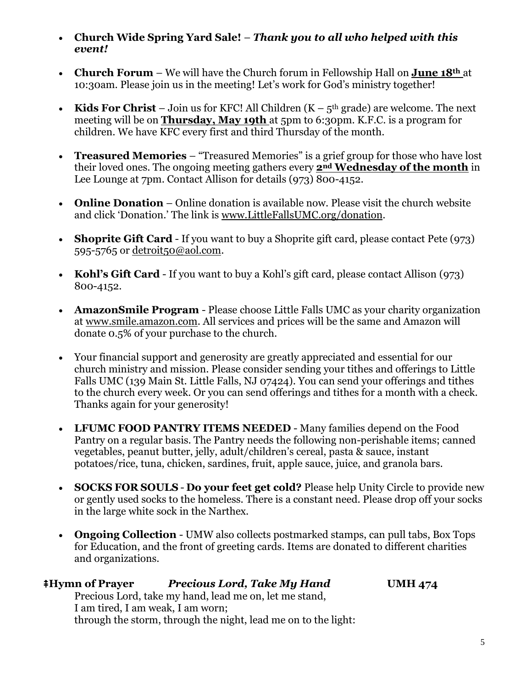- **Church Wide Spring Yard Sale!** *Thank you to all who helped with this event!*
- **Church Forum** We will have the Church forum in Fellowship Hall on **June 18th** at 10:30am. Please join us in the meeting! Let's work for God's ministry together!
- **Kids For Christ** Join us for KFC! All Children  $(K 5<sup>th</sup>$  grade) are welcome. The next meeting will be on **Thursday, May 19th** at 5pm to 6:30pm. K.F.C. is a program for children. We have KFC every first and third Thursday of the month.
- **Treasured Memories**  "Treasured Memories" is a grief group for those who have lost their loved ones. The ongoing meeting gathers every **2nd Wednesday of the month** in Lee Lounge at 7pm. Contact Allison for details (973) 800-4152.
- **Online Donation** Online donation is available now. Please visit the church website and click 'Donation.' The link is [www.LittleFallsUMC.org/donation.](http://www.littlefallsumc.org/donation)
- **Shoprite Gift Card** If you want to buy a Shoprite gift card, please contact Pete (973) 595-5765 or [detroit50@aol.com.](mailto:detroit50@aol.com)
- **Kohl's Gift Card** If you want to buy a Kohl's gift card, please contact Allison (973) 800-4152.
- **AmazonSmile Program**  Please choose Little Falls UMC as your charity organization at www.smile.amazon.com. All services and prices will be the same and Amazon will donate 0.5% of your purchase to the church.
- Your financial support and generosity are greatly appreciated and essential for our church ministry and mission. Please consider sending your tithes and offerings to Little Falls UMC (139 Main St. Little Falls, NJ 07424). You can send your offerings and tithes to the church every week. Or you can send offerings and tithes for a month with a check. Thanks again for your generosity!
- **LFUMC FOOD PANTRY ITEMS NEEDED** Many families depend on the Food Pantry on a regular basis. The Pantry needs the following non-perishable items; canned vegetables, peanut butter, jelly, adult/children's cereal, pasta & sauce, instant potatoes/rice, tuna, chicken, sardines, fruit, apple sauce, juice, and granola bars.
- **SOCKS FOR SOULS Do your feet get cold?** Please help Unity Circle to provide new or gently used socks to the homeless. There is a constant need. Please drop off your socks in the large white sock in the Narthex.
- **Ongoing Collection** UMW also collects postmarked stamps, can pull tabs, Box Tops for Education, and the front of greeting cards. Items are donated to different charities and organizations.

# ⭻**Hymn of Prayer** *Precious Lord, Take My Hand* **UMH 474**

Precious Lord, take my hand, lead me on, let me stand, I am tired, I am weak, I am worn; through the storm, through the night, lead me on to the light: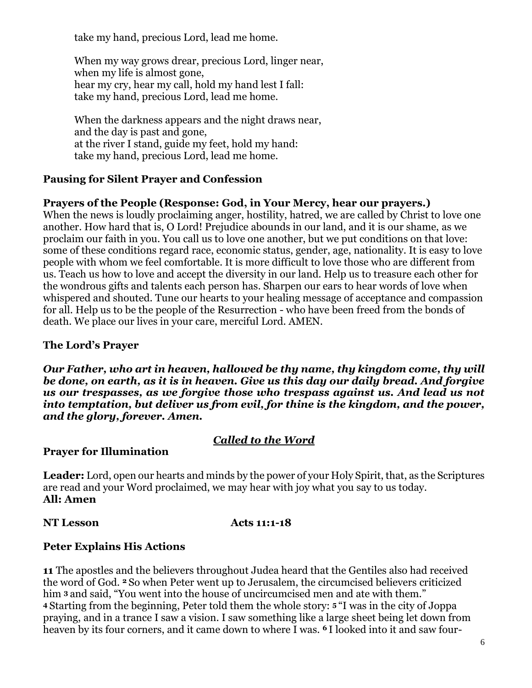take my hand, precious Lord, lead me home.

When my way grows drear, precious Lord, linger near, when my life is almost gone, hear my cry, hear my call, hold my hand lest I fall: take my hand, precious Lord, lead me home.

When the darkness appears and the night draws near, and the day is past and gone, at the river I stand, guide my feet, hold my hand: take my hand, precious Lord, lead me home.

### **Pausing for Silent Prayer and Confession**

#### **Prayers of the People (Response: God, in Your Mercy, hear our prayers.)**

When the news is loudly proclaiming anger, hostility, hatred, we are called by Christ to love one another. How hard that is, O Lord! Prejudice abounds in our land, and it is our shame, as we proclaim our faith in you. You call us to love one another, but we put conditions on that love: some of these conditions regard race, economic status, gender, age, nationality. It is easy to love people with whom we feel comfortable. It is more difficult to love those who are different from us. Teach us how to love and accept the diversity in our land. Help us to treasure each other for the wondrous gifts and talents each person has. Sharpen our ears to hear words of love when whispered and shouted. Tune our hearts to your healing message of acceptance and compassion for all. Help us to be the people of the Resurrection - who have been freed from the bonds of death. We place our lives in your care, merciful Lord. AMEN.

#### **The Lord's Prayer**

*Our Father, who art in heaven, hallowed be thy name, thy kingdom come, thy will be done, on earth, as it is in heaven. Give us this day our daily bread. And forgive us our trespasses, as we forgive those who trespass against us. And lead us not into temptation, but deliver us from evil, for thine is the kingdom, and the power, and the glory, forever. Amen.*

### *Called to the Word*

### **Prayer for Illumination**

**Leader:** Lord, open our hearts and minds by the power of your Holy Spirit, that, as the Scriptures are read and your Word proclaimed, we may hear with joy what you say to us today. **All: Amen**

### **NT Lesson Acts 11:1-18**

### **Peter Explains His Actions**

**11** The apostles and the believers throughout Judea heard that the Gentiles also had received the word of God. **<sup>2</sup>** So when Peter went up to Jerusalem, the circumcised believers criticized him **<sup>3</sup>** and said, "You went into the house of uncircumcised men and ate with them." **<sup>4</sup>** Starting from the beginning, Peter told them the whole story: **<sup>5</sup>** "I was in the city of Joppa praying, and in a trance I saw a vision. I saw something like a large sheet being let down from heaven by its four corners, and it came down to where I was. **<sup>6</sup>** I looked into it and saw four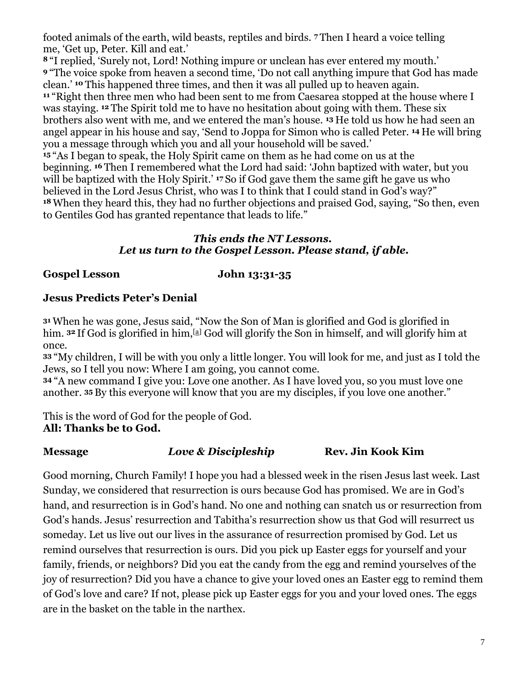footed animals of the earth, wild beasts, reptiles and birds. **<sup>7</sup>** Then I heard a voice telling me, 'Get up, Peter. Kill and eat.'

**<sup>8</sup>** "I replied, 'Surely not, Lord! Nothing impure or unclean has ever entered my mouth.' **<sup>9</sup>** "The voice spoke from heaven a second time, 'Do not call anything impure that God has made clean.' **<sup>10</sup>** This happened three times, and then it was all pulled up to heaven again. **<sup>11</sup>** "Right then three men who had been sent to me from Caesarea stopped at the house where I was staying. **<sup>12</sup>** The Spirit told me to have no hesitation about going with them. These six brothers also went with me, and we entered the man's house. **<sup>13</sup>** He told us how he had seen an angel appear in his house and say, 'Send to Joppa for Simon who is called Peter. **<sup>14</sup>** He will bring you a message through which you and all your household will be saved.'

**<sup>15</sup>** "As I began to speak, the Holy Spirit came on them as he had come on us at the beginning. **<sup>16</sup>** Then I remembered what the Lord had said: 'John baptized with water, but you will be baptized with the Holy Spirit.' **<sup>17</sup>** So if God gave them the same gift he gave us who believed in the Lord Jesus Christ, who was I to think that I could stand in God's way?" **<sup>18</sup>** When they heard this, they had no further objections and praised God, saying, "So then, even to Gentiles God has granted repentance that leads to life."

#### *This ends the NT Lessons. Let us turn to the Gospel Lesson. Please stand, if able.*

## **Gospel Lesson John 13:31-35**

## **Jesus Predicts Peter's Denial**

**<sup>31</sup>** When he was gone, Jesus said, "Now the Son of Man is glorified and God is glorified in him. **<sup>32</sup>** If God is glorified in him,[\[a\]](https://www.biblegateway.com/passage/?search=John+13%3A31-35&version=NIV#fen-NIV-26663a) God will glorify the Son in himself, and will glorify him at once.

**<sup>33</sup>** "My children, I will be with you only a little longer. You will look for me, and just as I told the Jews, so I tell you now: Where I am going, you cannot come.

**<sup>34</sup>** "A new command I give you: Love one another. As I have loved you, so you must love one another. **<sup>35</sup>** By this everyone will know that you are my disciples, if you love one another."

This is the word of God for the people of God. **All: Thanks be to God.**

## **Message** *Love & Discipleship* **Rev. Jin Kook Kim**

Good morning, Church Family! I hope you had a blessed week in the risen Jesus last week. Last Sunday, we considered that resurrection is ours because God has promised. We are in God's hand, and resurrection is in God's hand. No one and nothing can snatch us or resurrection from God's hands. Jesus' resurrection and Tabitha's resurrection show us that God will resurrect us someday. Let us live out our lives in the assurance of resurrection promised by God. Let us remind ourselves that resurrection is ours. Did you pick up Easter eggs for yourself and your family, friends, or neighbors? Did you eat the candy from the egg and remind yourselves of the joy of resurrection? Did you have a chance to give your loved ones an Easter egg to remind them of God's love and care? If not, please pick up Easter eggs for you and your loved ones. The eggs are in the basket on the table in the narthex.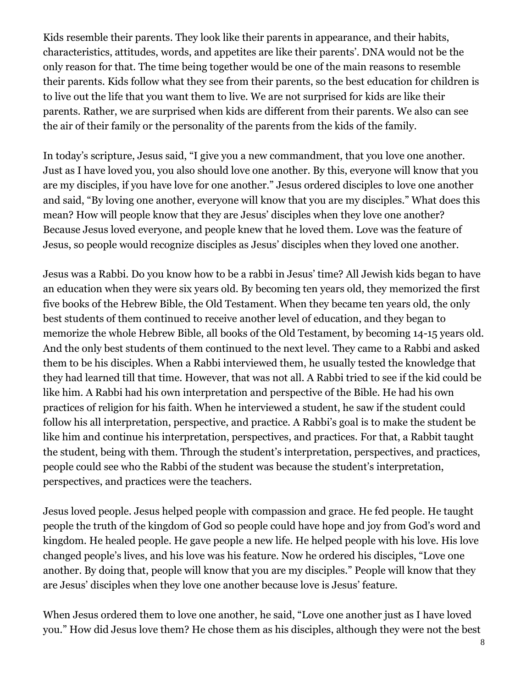Kids resemble their parents. They look like their parents in appearance, and their habits, characteristics, attitudes, words, and appetites are like their parents'. DNA would not be the only reason for that. The time being together would be one of the main reasons to resemble their parents. Kids follow what they see from their parents, so the best education for children is to live out the life that you want them to live. We are not surprised for kids are like their parents. Rather, we are surprised when kids are different from their parents. We also can see the air of their family or the personality of the parents from the kids of the family.

In today's scripture, Jesus said, "I give you a new commandment, that you love one another. Just as I have loved you, you also should love one another. By this, everyone will know that you are my disciples, if you have love for one another." Jesus ordered disciples to love one another and said, "By loving one another, everyone will know that you are my disciples." What does this mean? How will people know that they are Jesus' disciples when they love one another? Because Jesus loved everyone, and people knew that he loved them. Love was the feature of Jesus, so people would recognize disciples as Jesus' disciples when they loved one another.

Jesus was a Rabbi. Do you know how to be a rabbi in Jesus' time? All Jewish kids began to have an education when they were six years old. By becoming ten years old, they memorized the first five books of the Hebrew Bible, the Old Testament. When they became ten years old, the only best students of them continued to receive another level of education, and they began to memorize the whole Hebrew Bible, all books of the Old Testament, by becoming 14-15 years old. And the only best students of them continued to the next level. They came to a Rabbi and asked them to be his disciples. When a Rabbi interviewed them, he usually tested the knowledge that they had learned till that time. However, that was not all. A Rabbi tried to see if the kid could be like him. A Rabbi had his own interpretation and perspective of the Bible. He had his own practices of religion for his faith. When he interviewed a student, he saw if the student could follow his all interpretation, perspective, and practice. A Rabbi's goal is to make the student be like him and continue his interpretation, perspectives, and practices. For that, a Rabbit taught the student, being with them. Through the student's interpretation, perspectives, and practices, people could see who the Rabbi of the student was because the student's interpretation, perspectives, and practices were the teachers.

Jesus loved people. Jesus helped people with compassion and grace. He fed people. He taught people the truth of the kingdom of God so people could have hope and joy from God's word and kingdom. He healed people. He gave people a new life. He helped people with his love. His love changed people's lives, and his love was his feature. Now he ordered his disciples, "Love one another. By doing that, people will know that you are my disciples." People will know that they are Jesus' disciples when they love one another because love is Jesus' feature.

When Jesus ordered them to love one another, he said, "Love one another just as I have loved you." How did Jesus love them? He chose them as his disciples, although they were not the best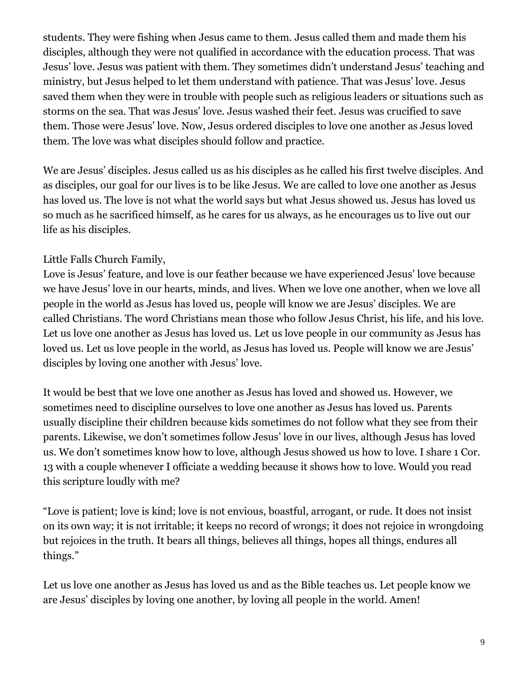students. They were fishing when Jesus came to them. Jesus called them and made them his disciples, although they were not qualified in accordance with the education process. That was Jesus' love. Jesus was patient with them. They sometimes didn't understand Jesus' teaching and ministry, but Jesus helped to let them understand with patience. That was Jesus' love. Jesus saved them when they were in trouble with people such as religious leaders or situations such as storms on the sea. That was Jesus' love. Jesus washed their feet. Jesus was crucified to save them. Those were Jesus' love. Now, Jesus ordered disciples to love one another as Jesus loved them. The love was what disciples should follow and practice.

We are Jesus' disciples. Jesus called us as his disciples as he called his first twelve disciples. And as disciples, our goal for our lives is to be like Jesus. We are called to love one another as Jesus has loved us. The love is not what the world says but what Jesus showed us. Jesus has loved us so much as he sacrificed himself, as he cares for us always, as he encourages us to live out our life as his disciples.

## Little Falls Church Family,

Love is Jesus' feature, and love is our feather because we have experienced Jesus' love because we have Jesus' love in our hearts, minds, and lives. When we love one another, when we love all people in the world as Jesus has loved us, people will know we are Jesus' disciples. We are called Christians. The word Christians mean those who follow Jesus Christ, his life, and his love. Let us love one another as Jesus has loved us. Let us love people in our community as Jesus has loved us. Let us love people in the world, as Jesus has loved us. People will know we are Jesus' disciples by loving one another with Jesus' love.

It would be best that we love one another as Jesus has loved and showed us. However, we sometimes need to discipline ourselves to love one another as Jesus has loved us. Parents usually discipline their children because kids sometimes do not follow what they see from their parents. Likewise, we don't sometimes follow Jesus' love in our lives, although Jesus has loved us. We don't sometimes know how to love, although Jesus showed us how to love. I share 1 Cor. 13 with a couple whenever I officiate a wedding because it shows how to love. Would you read this scripture loudly with me?

"Love is patient; love is kind; love is not envious, boastful, arrogant, or rude. It does not insist on its own way; it is not irritable; it keeps no record of wrongs; it does not rejoice in wrongdoing but rejoices in the truth. It bears all things, believes all things, hopes all things, endures all things."

Let us love one another as Jesus has loved us and as the Bible teaches us. Let people know we are Jesus' disciples by loving one another, by loving all people in the world. Amen!